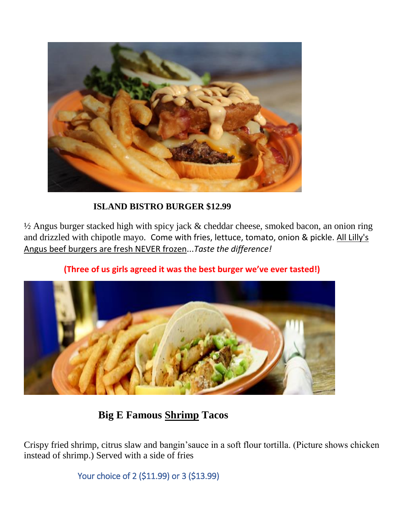

## **ISLAND BISTRO BURGER \$12.99**

½ Angus burger stacked high with spicy jack & cheddar cheese, smoked bacon, an onion ring and drizzled with chipotle mayo. Come with fries, lettuce, tomato, onion & pickle. All Lilly's Angus beef burgers are fresh NEVER frozen...*Taste the difference!*



**(Three of us girls agreed it was the best burger we've ever tasted!)**

## **Big E Famous Shrimp Tacos**

Crispy fried shrimp, citrus slaw and bangin'sauce in a soft flour tortilla. (Picture shows chicken instead of shrimp.) Served with a side of fries

Your choice of 2 (\$11.99) or 3 (\$13.99)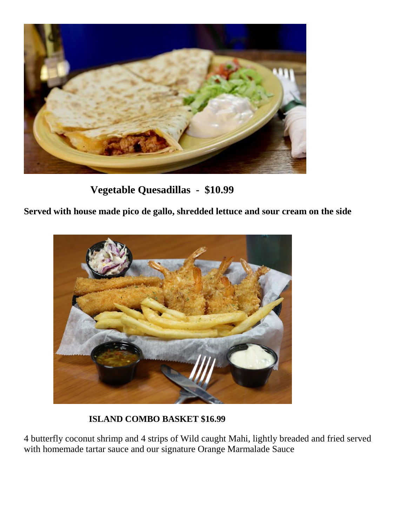

 **Vegetable Quesadillas - \$10.99**

**Served with house made pico de gallo, shredded lettuce and sour cream on the side**



 **ISLAND COMBO BASKET \$16.99**

4 butterfly coconut shrimp and 4 strips of Wild caught Mahi, lightly breaded and fried served with homemade tartar sauce and our signature Orange Marmalade Sauce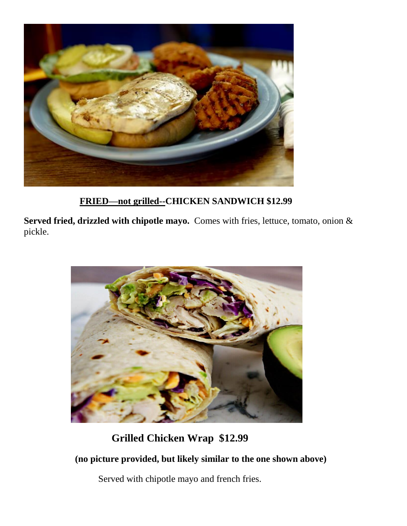

 **FRIED—not grilled--CHICKEN SANDWICH \$12.99**

**Served fried, drizzled with chipotle mayo.** Comes with fries, lettuce, tomato, onion & pickle.



## **Grilled Chicken Wrap \$12.99**

 **(no picture provided, but likely similar to the one shown above)**

Served with chipotle mayo and french fries.